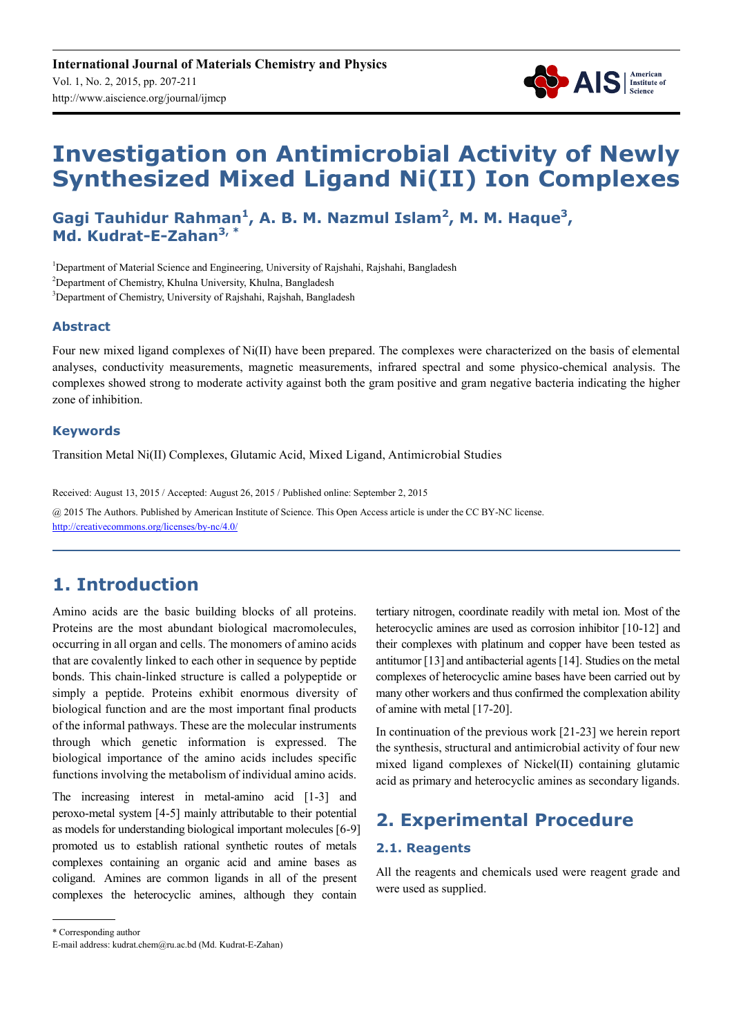

# **Investigation on Antimicrobial Activity of Newly Synthesized Mixed Ligand Ni(II) Ion Complexes**

Gagi Tauhidur Rahman<sup>1</sup>, A. B. M. Nazmul Islam<sup>2</sup>, M. M. Haque<sup>3</sup>, **Md. Kudrat-E-Zahan3, \***

<sup>1</sup>Department of Material Science and Engineering, University of Rajshahi, Rajshahi, Bangladesh <sup>2</sup>Department of Chemistry, Khulna University, Khulna, Bangladesh <sup>3</sup>Department of Chemistry, University of Rajshahi, Rajshah, Bangladesh

#### **Abstract**

Four new mixed ligand complexes of Ni(II) have been prepared. The complexes were characterized on the basis of elemental analyses, conductivity measurements, magnetic measurements, infrared spectral and some physico-chemical analysis. The complexes showed strong to moderate activity against both the gram positive and gram negative bacteria indicating the higher zone of inhibition.

#### **Keywords**

Transition Metal Ni(II) Complexes, Glutamic Acid, Mixed Ligand, Antimicrobial Studies

Received: August 13, 2015 / Accepted: August 26, 2015 / Published online: September 2, 2015 @ 2015 The Authors. Published by American Institute of Science. This Open Access article is under the CC BY-NC license. http://creativecommons.org/licenses/by-nc/4.0/

### **1. Introduction**

Amino acids are the basic building blocks of all proteins. Proteins are the most abundant biological macromolecules, occurring in all organ and cells. The monomers of amino acids that are covalently linked to each other in sequence by peptide bonds. This chain-linked structure is called a polypeptide or simply a peptide. Proteins exhibit enormous diversity of biological function and are the most important final products of the informal pathways. These are the molecular instruments through which genetic information is expressed. The biological importance of the amino acids includes specific functions involving the metabolism of individual amino acids.

The increasing interest in metal-amino acid [1-3] and peroxo-metal system [4-5] mainly attributable to their potential as models for understanding biological important molecules [6-9] promoted us to establish rational synthetic routes of metals complexes containing an organic acid and amine bases as coligand. Amines are common ligands in all of the present complexes the heterocyclic amines, although they contain

tertiary nitrogen, coordinate readily with metal ion. Most of the heterocyclic amines are used as corrosion inhibitor [10-12] and their complexes with platinum and copper have been tested as antitumor [13] and antibacterial agents [14]. Studies on the metal complexes of heterocyclic amine bases have been carried out by many other workers and thus confirmed the complexation ability of amine with metal [17-20].

In continuation of the previous work [21-23] we herein report the synthesis, structural and antimicrobial activity of four new mixed ligand complexes of Nickel(II) containing glutamic acid as primary and heterocyclic amines as secondary ligands.

### **2. Experimental Procedure**

#### **2.1. Reagents**

All the reagents and chemicals used were reagent grade and were used as supplied.

<sup>\*</sup> Corresponding author

E-mail address: kudrat.chem@ru.ac.bd (Md. Kudrat-E-Zahan)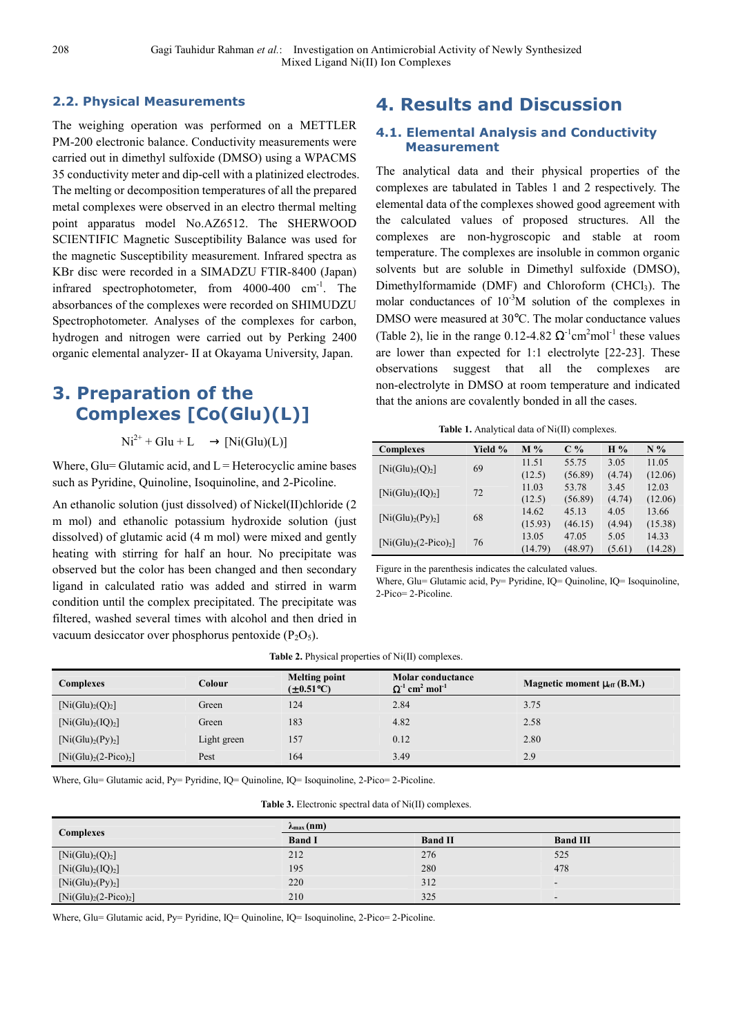#### **2.2. Physical Measurements**

The weighing operation was performed on a METTLER PM-200 electronic balance. Conductivity measurements were carried out in dimethyl sulfoxide (DMSO) using a WPACMS 35 conductivity meter and dip-cell with a platinized electrodes. The melting or decomposition temperatures of all the prepared metal complexes were observed in an electro thermal melting point apparatus model No.AZ6512. The SHERWOOD SCIENTIFIC Magnetic Susceptibility Balance was used for the magnetic Susceptibility measurement. Infrared spectra as KBr disc were recorded in a SIMADZU FTIR-8400 (Japan) infrared spectrophotometer, from  $4000-400$  cm<sup>-1</sup>. The absorbances of the complexes were recorded on SHIMUDZU Spectrophotometer. Analyses of the complexes for carbon, hydrogen and nitrogen were carried out by Perking 2400 organic elemental analyzer- II at Okayama University, Japan.

## **3. Preparation of the Complexes [Co(Glu)(L)]**

 $Ni^{2+}$  + Glu + L  $\longrightarrow$  [Ni(Glu)(L)]

Where, Glu= Glutamic acid, and  $L =$  Heterocyclic amine bases such as Pyridine, Quinoline, Isoquinoline, and 2-Picoline.

An ethanolic solution (just dissolved) of Nickel(II)chloride (2 m mol) and ethanolic potassium hydroxide solution (just dissolved) of glutamic acid (4 m mol) were mixed and gently heating with stirring for half an hour. No precipitate was observed but the color has been changed and then secondary ligand in calculated ratio was added and stirred in warm condition until the complex precipitated. The precipitate was filtered, washed several times with alcohol and then dried in vacuum desiccator over phosphorus pentoxide  $(P_2O_5)$ .

### **4. Results and Discussion**

#### **4.1. Elemental Analysis and Conductivity Measurement**

The analytical data and their physical properties of the complexes are tabulated in Tables 1 and 2 respectively. The elemental data of the complexes showed good agreement with the calculated values of proposed structures. All the complexes are non-hygroscopic and stable at room temperature. The complexes are insoluble in common organic solvents but are soluble in Dimethyl sulfoxide (DMSO), Dimethylformamide (DMF) and Chloroform (CHCl<sub>3</sub>). The molar conductances of  $10^{-3}M$  solution of the complexes in DMSO were measured at 30°C. The molar conductance values (Table 2), lie in the range 0.12-4.82  $\Omega^{-1}$ cm<sup>2</sup>mol<sup>-1</sup> these values are lower than expected for 1:1 electrolyte [22-23]. These observations suggest that all the complexes are non-electrolyte in DMSO at room temperature and indicated that the anions are covalently bonded in all the cases.

**Table 1.** Analytical data of Ni(II) complexes.

| <b>Complexes</b>                          | Yield % | $M\%$   | $C\%$   | H%     | $N\%$   |
|-------------------------------------------|---------|---------|---------|--------|---------|
|                                           | 69      | 11.51   | 55.75   | 3.05   | 11.05   |
| [Ni(Glu) <sub>2</sub> (Q) <sub>2</sub> ]  |         | (12.5)  | (56.89) | (4.74) | (12.06) |
| [Ni(Glu) <sub>2</sub> (IQ) <sub>2</sub> ] | 72      | 11.03   | 53.78   | 3.45   | 12.03   |
|                                           |         | (12.5)  | (56.89) | (4.74) | (12.06) |
| [Ni(Glu) <sub>2</sub> (Py) <sub>2</sub> ] | 68      | 14.62   | 45.13   | 4.05   | 13.66   |
|                                           |         | (15.93) | (46.15) | (4.94) | (15.38) |
| $[Ni(Glu)2(2-Pico)2]$                     | 76      | 13.05   | 47.05   | 5.05   | 14.33   |
|                                           |         | (14.79) | (48.97) | (5.61) | (14.28) |

Figure in the parenthesis indicates the calculated values.

Where, Glu= Glutamic acid, Py= Pyridine, IQ= Quinoline, IQ= Isoquinoline, 2-Pico= 2-Picoline.

| <b>Table 2.</b> Physical properties of Ni(II) complexes. |  |  |  |
|----------------------------------------------------------|--|--|--|
|----------------------------------------------------------|--|--|--|

| <b>Complexes</b>                          | Colour      | <b>Melting point</b><br>$(\pm 0.51^{\circ}C)$ | <b>Molar conductance</b><br>$\Omega$ <sup>-1</sup> cm <sup>2</sup> mol <sup>-1</sup> | Magnetic moment $\mu_{\rm eff}$ (B.M.) |
|-------------------------------------------|-------------|-----------------------------------------------|--------------------------------------------------------------------------------------|----------------------------------------|
| [Ni(Glu) <sub>2</sub> (Q) <sub>2</sub> ]  | Green       | 124                                           | 2.84                                                                                 | 3.75                                   |
| [Ni(Glu) <sub>2</sub> (IQ) <sub>2</sub> ] | Green       | 183                                           | 4.82                                                                                 | 2.58                                   |
| [Ni(Glu) <sub>2</sub> (Py) <sub>2</sub> ] | Light green | 157                                           | 0.12                                                                                 | 2.80                                   |
| $[Ni(Glu)2(2-Pico)2]$                     | Pest        | 164                                           | 3.49                                                                                 | 2.9                                    |

Where, Glu= Glutamic acid, Py= Pyridine, IQ= Quinoline, IQ= Isoquinoline, 2-Pico= 2-Picoline.

**Table 3.** Electronic spectral data of Ni(II) complexes.

|                                           | $\lambda_{\max}$ (nm) |                |                 |  |  |
|-------------------------------------------|-----------------------|----------------|-----------------|--|--|
| <b>Complexes</b>                          | <b>Band I</b>         | <b>Band II</b> | <b>Band III</b> |  |  |
| [Ni(Glu) <sub>2</sub> (Q) <sub>2</sub> ]  | 212                   | 276            | 525             |  |  |
| [Ni(Glu) <sub>2</sub> (IQ) <sub>2</sub> ] | 195                   | 280            | 478             |  |  |
| [Ni(Glu) <sub>2</sub> (Py) <sub>2</sub> ] | 220                   | 312            |                 |  |  |
| $[Ni(Glu)2(2-Pico)2]$                     | 210                   | 325            |                 |  |  |

Where, Glu= Glutamic acid, Py= Pyridine, IQ= Quinoline, IQ= Isoquinoline, 2-Pico= 2-Picoline.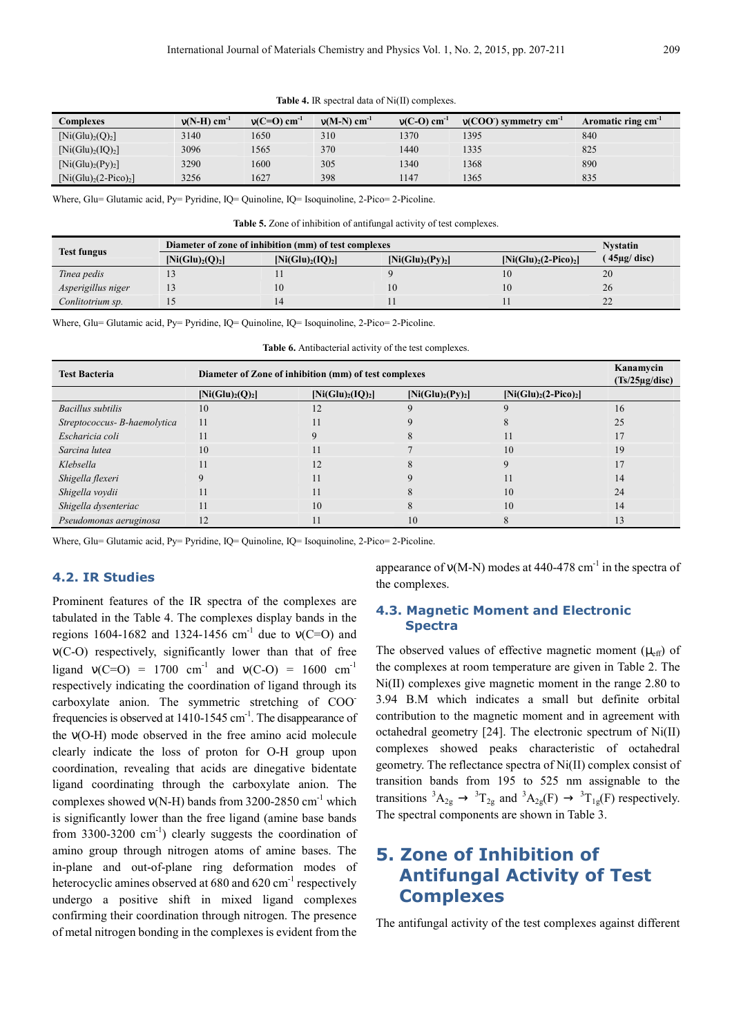|  |  |  |  |  |  | Table 4. IR spectral data of Ni(II) complexes. |
|--|--|--|--|--|--|------------------------------------------------|
|--|--|--|--|--|--|------------------------------------------------|

| Complexes                                 | $v(N-H)$ cm <sup>-1</sup> | $v(C=O)$ cm <sup>-1</sup> | $v(M-N)$ cm <sup>-1</sup> | $v(C-O)$ cm <sup>-1</sup> | $v(COO)$ symmetry cm <sup>-1</sup> | Aromatic ring cm <sup>-1</sup> |
|-------------------------------------------|---------------------------|---------------------------|---------------------------|---------------------------|------------------------------------|--------------------------------|
| [Ni(Glu) <sub>2</sub> (Q) <sub>2</sub> ]  | 3140                      | 1650                      | 310                       | 1370                      | 1395                               | 840                            |
| [Ni(Glu) <sub>2</sub> (IQ) <sub>2</sub> ] | 3096                      | 1565                      | 370                       | 1440                      | 1335                               | 825                            |
| [Ni(Glu) <sub>2</sub> (Py) <sub>2</sub> ] | 3290                      | 1600                      | 305                       | 1340                      | 1368                               | 890                            |
| $[Ni(Glu)2(2-Pico)2]$                     | 3256                      | 1627                      | 398                       | 1147                      | 1365                               | 835                            |

Where, Glu= Glutamic acid, Py= Pyridine, IQ= Quinoline, IQ= Isoquinoline, 2-Pico= 2-Picoline.

**Table 5.** Zone of inhibition of antifungal activity of test complexes.

| <b>Test fungus</b> | Diameter of zone of inhibition (mm) of test complexes | <b>Nystatin</b>                           |                                           |                       |                           |
|--------------------|-------------------------------------------------------|-------------------------------------------|-------------------------------------------|-----------------------|---------------------------|
|                    | [Ni(Glu) <sub>2</sub> (Q) <sub>2</sub> ]              | [Ni(Glu) <sub>2</sub> (IQ) <sub>2</sub> ] | [Ni(Glu) <sub>2</sub> (Py) <sub>2</sub> ] | $[Ni(Glu)2(2-Pico)2]$ | $\frac{1}{2}$ 45µg/ disc) |
| Tinea pedis        |                                                       |                                           |                                           |                       | 20                        |
| Asperigillus niger |                                                       |                                           | 10                                        | 10                    | 26                        |
| Conlitotrium sp.   |                                                       |                                           |                                           |                       | 22                        |

Where, Glu= Glutamic acid, Py= Pyridine, IQ= Quinoline, IQ= Isoquinoline, 2-Pico= 2-Picoline.

| <b>Table 6.</b> Antibacterial activity of the test complexes. |  |  |
|---------------------------------------------------------------|--|--|
|---------------------------------------------------------------|--|--|

| <b>Test Bacteria</b>         | Diameter of Zone of inhibition (mm) of test complexes | Kanamycin<br>$(Ts/25\mu g/disc)$          |                                           |                       |    |
|------------------------------|-------------------------------------------------------|-------------------------------------------|-------------------------------------------|-----------------------|----|
|                              | [Ni(Glu) <sub>2</sub> (Q) <sub>2</sub> ]              | [Ni(Glu) <sub>2</sub> (IQ) <sub>2</sub> ] | [Ni(Glu) <sub>2</sub> (Py) <sub>2</sub> ] | $[Ni(Glu)2(2-Pico)2]$ |    |
| <b>Bacillus</b> subtilis     | 10                                                    | 12                                        | q                                         |                       | 16 |
| Streptococcus- B-haemolytica | 11                                                    |                                           |                                           |                       | 25 |
| Escharicia coli              |                                                       |                                           |                                           | 11                    | 17 |
| Sarcina lutea                | 10                                                    | 11                                        |                                           | 10                    | 19 |
| Klebsella                    |                                                       | 12                                        |                                           |                       | 17 |
| Shigella flexeri             |                                                       | 11                                        |                                           | 11                    | 14 |
| Shigella voydii              |                                                       | 11                                        |                                           | 10                    | 24 |
| Shigella dysenteriac         | 11                                                    | 10                                        | 8                                         | 10                    | 14 |
| Pseudomonas aeruginosa       | 12                                                    | 11                                        | 10                                        | 8                     | 13 |

Where, Glu= Glutamic acid, Py= Pyridine, IQ= Quinoline, IQ= Isoquinoline, 2-Pico= 2-Picoline.

#### **4.2. IR Studies**

Prominent features of the IR spectra of the complexes are tabulated in the Table 4. The complexes display bands in the regions 1604-1682 and 1324-1456 cm<sup>-1</sup> due to  $v(C=O)$  and ν(C-O) respectively, significantly lower than that of free ligand  $v(C=O) = 1700$  cm<sup>-1</sup> and  $v(C=O) = 1600$  cm<sup>-1</sup> respectively indicating the coordination of ligand through its carboxylate anion. The symmetric stretching of COOfrequencies is observed at  $1410-1545$  cm<sup>-1</sup>. The disappearance of the ν(O-H) mode observed in the free amino acid molecule clearly indicate the loss of proton for O-H group upon coordination, revealing that acids are dinegative bidentate ligand coordinating through the carboxylate anion. The complexes showed  $v(N-H)$  bands from 3200-2850 cm<sup>-1</sup> which is significantly lower than the free ligand (amine base bands from 3300-3200  $\text{cm}^{-1}$ ) clearly suggests the coordination of amino group through nitrogen atoms of amine bases. The in-plane and out-of-plane ring deformation modes of heterocyclic amines observed at  $680$  and  $620$  cm<sup>-1</sup> respectively undergo a positive shift in mixed ligand complexes confirming their coordination through nitrogen. The presence of metal nitrogen bonding in the complexes is evident from the appearance of  $v(M-N)$  modes at 440-478 cm<sup>-1</sup> in the spectra of the complexes.

#### **4.3. Magnetic Moment and Electronic Spectra**

The observed values of effective magnetic moment  $(\mu_{eff})$  of the complexes at room temperature are given in Table 2. The Ni(II) complexes give magnetic moment in the range 2.80 to 3.94 B.M which indicates a small but definite orbital contribution to the magnetic moment and in agreement with octahedral geometry [24]. The electronic spectrum of Ni(II) complexes showed peaks characteristic of octahedral geometry. The reflectance spectra of Ni(II) complex consist of transition bands from 195 to 525 nm assignable to the transitions  ${}^3A_{2g} \rightarrow {}^3T_{2g}$  and  ${}^3A_{2g}(F) \rightarrow {}^3T_{1g}(F)$  respectively. The spectral components are shown in Table 3.

### **5. Zone of Inhibition of Antifungal Activity of Test Complexes**

The antifungal activity of the test complexes against different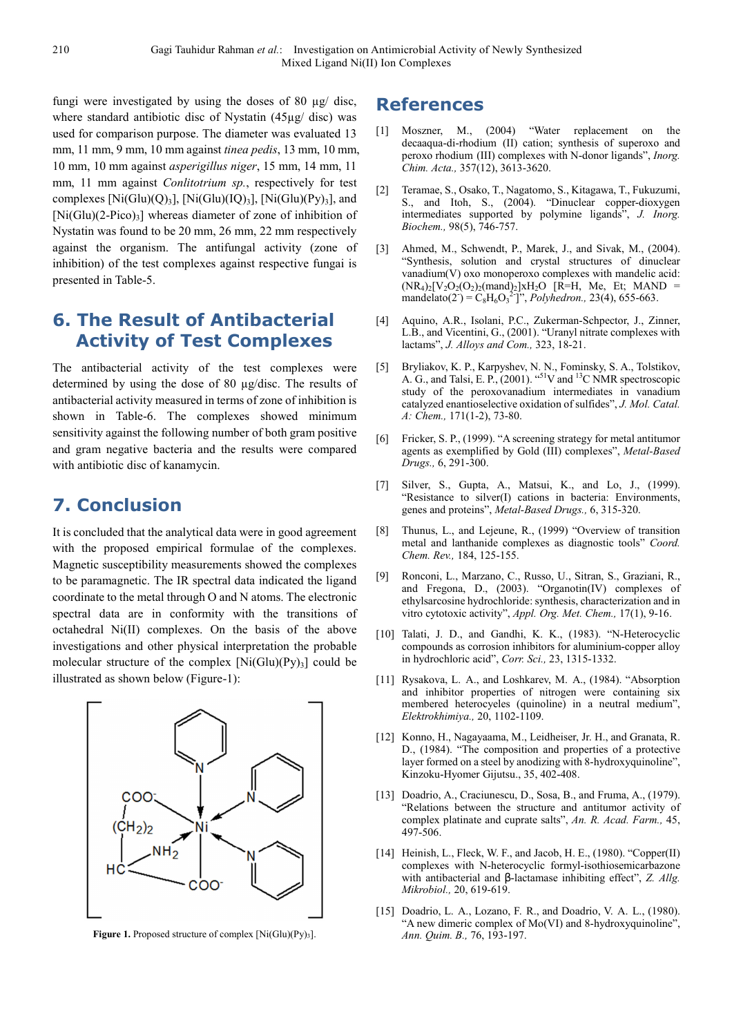fungi were investigated by using the doses of 80 µg/ disc, where standard antibiotic disc of Nystatin (45µg/ disc) was used for comparison purpose. The diameter was evaluated 13 mm, 11 mm, 9 mm, 10 mm against *tinea pedis*, 13 mm, 10 mm, 10 mm, 10 mm against *asperigillus niger*, 15 mm, 14 mm, 11 mm, 11 mm against *Conlitotrium sp.*, respectively for test complexes  $[Ni(Glu)(Q)_3]$ ,  $[Ni(Glu)(IQ)_3]$ ,  $[Ni(Glu)(Py)_3]$ , and  $[Ni(Glu)(2-Pico)_3]$  whereas diameter of zone of inhibition of Nystatin was found to be 20 mm, 26 mm, 22 mm respectively against the organism. The antifungal activity (zone of inhibition) of the test complexes against respective fungai is presented in Table-5.

### **6. The Result of Antibacterial Activity of Test Complexes**

The antibacterial activity of the test complexes were determined by using the dose of 80 µg/disc. The results of antibacterial activity measured in terms of zone of inhibition is shown in Table-6. The complexes showed minimum sensitivity against the following number of both gram positive and gram negative bacteria and the results were compared with antibiotic disc of kanamycin.

### **7. Conclusion**

It is concluded that the analytical data were in good agreement with the proposed empirical formulae of the complexes. Magnetic susceptibility measurements showed the complexes to be paramagnetic. The IR spectral data indicated the ligand coordinate to the metal through O and N atoms. The electronic spectral data are in conformity with the transitions of octahedral Ni(II) complexes. On the basis of the above investigations and other physical interpretation the probable molecular structure of the complex  $[Ni(Glu)(Py)_{3}]$  could be illustrated as shown below (Figure-1):



Figure 1. Proposed structure of complex [Ni(Glu)(Py)<sub>3</sub>].

### **References**

- [1] Moszner, M., (2004) "Water replacement on the decaaqua-di-rhodium (II) cation; synthesis of superoxo and peroxo rhodium (III) complexes with N-donor ligands", *Inorg. Chim. Acta.,* 357(12), 3613-3620.
- [2] Teramae, S., Osako, T., Nagatomo, S., Kitagawa, T., Fukuzumi, S., and Itoh, S., (2004). "Dinuclear copper-dioxygen intermediates supported by polymine ligands", *J. Inorg. Biochem.,* 98(5), 746-757.
- [3] Ahmed, M., Schwendt, P., Marek, J., and Sivak, M., (2004). "Synthesis, solution and crystal structures of dinuclear vanadium(V) oxo monoperoxo complexes with mandelic acid:  $(NR_4)_2[V_2O_2(O_2)_2(mand)_2]xH_2O$  [R=H, Me, Et; MAND = mandelato(2<sup>-</sup>) =  $C_8H_6O_3^{2}$ <sup>-</sup>j", *Polyhedron.*, 23(4), 655-663.
- [4] Aquino, A.R., Isolani, P.C., Zukerman-Schpector, J., Zinner, L.B., and Vicentini, G., (2001). "Uranyl nitrate complexes with lactams", *J. Alloys and Com.,* 323, 18-21.
- [5] Bryliakov, K. P., Karpyshev, N. N., Fominsky, S. A., Tolstikov, A. G., and Talsi, E. P., (2001). "<sup>51</sup>V and <sup>13</sup>C NMR spectroscopic study of the peroxovanadium intermediates in vanadium catalyzed enantioselective oxidation of sulfides", *J. Mol. Catal. A: Chem.,* 171(1-2), 73-80.
- [6] Fricker, S. P., (1999). "A screening strategy for metal antitumor agents as exemplified by Gold (III) complexes", *Metal-Based Drugs.,* 6, 291-300.
- [7] Silver, S., Gupta, A., Matsui, K., and Lo, J., (1999). "Resistance to silver(I) cations in bacteria: Environments, genes and proteins", *Metal-Based Drugs.,* 6, 315-320.
- [8] Thunus, L., and Lejeune, R., (1999) "Overview of transition metal and lanthanide complexes as diagnostic tools" *Coord. Chem. Rev.,* 184, 125-155.
- [9] Ronconi, L., Marzano, C., Russo, U., Sitran, S., Graziani, R., and Fregona, D., (2003). "Organotin(IV) complexes of ethylsarcosine hydrochloride: synthesis, characterization and in vitro cytotoxic activity", *Appl. Org. Met. Chem.,* 17(1), 9-16.
- [10] Talati, J. D., and Gandhi, K. K., (1983). "N-Heterocyclic compounds as corrosion inhibitors for aluminium-copper alloy in hydrochloric acid", *Corr. Sci.,* 23, 1315-1332.
- [11] Rysakova, L. A., and Loshkarev, M. A., (1984). "Absorption and inhibitor properties of nitrogen were containing six membered heterocyeles (quinoline) in a neutral medium", *Elektrokhimiya.,* 20, 1102-1109.
- [12] Konno, H., Nagayaama, M., Leidheiser, Jr. H., and Granata, R. D., (1984). "The composition and properties of a protective layer formed on a steel by anodizing with 8-hydroxyquinoline", Kinzoku-Hyomer Gijutsu., 35, 402-408.
- [13] Doadrio, A., Craciunescu, D., Sosa, B., and Fruma, A., (1979). "Relations between the structure and antitumor activity of complex platinate and cuprate salts", *An. R. Acad. Farm.,* 45, 497-506.
- [14] Heinish, L., Fleck, W. F., and Jacob, H. E., (1980). "Copper(II) complexes with N-heterocyclic formyl-isothiosemicarbazone with antibacterial and β-lactamase inhibiting effect", *Z. Allg. Mikrobiol.,* 20, 619-619.
- [15] Doadrio, L. A., Lozano, F. R., and Doadrio, V. A. L., (1980). "A new dimeric complex of Mo(VI) and 8-hydroxyquinoline", *Ann. Quim. B.,* 76, 193-197.